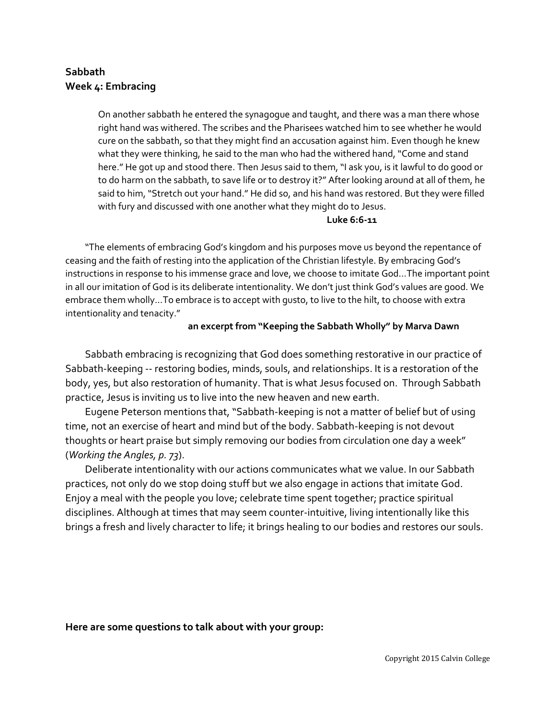# **Sabbath Week 4: Embracing**

On another sabbath he entered the synagogue and taught, and there was a man there whose right hand was withered. The scribes and the Pharisees watched him to see whether he would cure on the sabbath, so that they might find an accusation against him. Even though he knew what they were thinking, he said to the man who had the withered hand, "Come and stand here." He got up and stood there. Then Jesus said to them, "I ask you, is it lawful to do good or to do harm on the sabbath, to save life or to destroy it?" After looking around at all of them, he said to him, "Stretch out your hand." He did so, and his hand was restored. But they were filled with fury and discussed with one another what they might do to Jesus.

#### **Luke 6:6-11**

"The elements of embracing God's kingdom and his purposes move us beyond the repentance of ceasing and the faith of resting into the application of the Christian lifestyle. By embracing God's instructions in response to his immense grace and love, we choose to imitate God…The important point in all our imitation of God is its deliberate intentionality. We don't just think God's values are good. We embrace them wholly…To embrace is to accept with gusto, to live to the hilt, to choose with extra intentionality and tenacity."

### **an excerpt from "Keeping the Sabbath Wholly" by Marva Dawn**

Sabbath embracing is recognizing that God does something restorative in our practice of Sabbath-keeping -- restoring bodies, minds, souls, and relationships. It is a restoration of the body, yes, but also restoration of humanity. That is what Jesus focused on. Through Sabbath practice, Jesus is inviting us to live into the new heaven and new earth.

Eugene Peterson mentions that, "Sabbath-keeping is not a matter of belief but of using time, not an exercise of heart and mind but of the body. Sabbath-keeping is not devout thoughts or heart praise but simply removing our bodies from circulation one day a week" (*Working the Angles, p. 73*).

Deliberate intentionality with our actions communicates what we value. In our Sabbath practices, not only do we stop doing stuff but we also engage in actions that imitate God. Enjoy a meal with the people you love; celebrate time spent together; practice spiritual disciplines. Although at times that may seem counter-intuitive, living intentionally like this brings a fresh and lively character to life; it brings healing to our bodies and restores our souls.

### **Here are some questions to talk about with your group:**